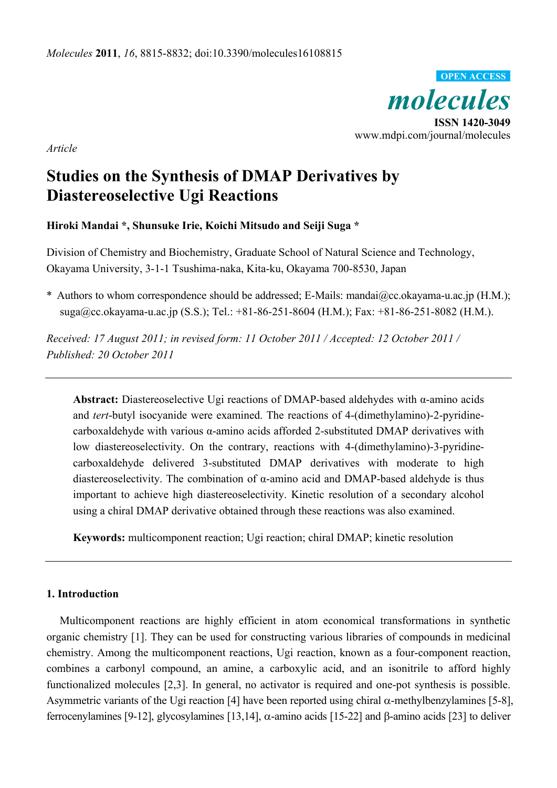

*Article* 

# **Studies on the Synthesis of DMAP Derivatives by Diastereoselective Ugi Reactions**

# **Hiroki Mandai \*, Shunsuke Irie, Koichi Mitsudo and Seiji Suga \***

Division of Chemistry and Biochemistry, Graduate School of Natural Science and Technology, Okayama University, 3-1-1 Tsushima-naka, Kita-ku, Okayama 700-8530, Japan

\* Authors to whom correspondence should be addressed; E-Mails: mandai@cc.okayama-u.ac.jp (H.M.); suga@cc.okayama-u.ac.jp (S.S.); Tel.: +81-86-251-8604 (H.M.); Fax: +81-86-251-8082 (H.M.).

*Received: 17 August 2011; in revised form: 11 October 2011 / Accepted: 12 October 2011 / Published: 20 October 2011* 

**Abstract:** Diastereoselective Ugi reactions of DMAP-based aldehydes with α-amino acids and *tert*-butyl isocyanide were examined. The reactions of 4-(dimethylamino)-2-pyridinecarboxaldehyde with various α-amino acids afforded 2-substituted DMAP derivatives with low diastereoselectivity. On the contrary, reactions with 4-(dimethylamino)-3-pyridinecarboxaldehyde delivered 3-substituted DMAP derivatives with moderate to high diastereoselectivity. The combination of α-amino acid and DMAP-based aldehyde is thus important to achieve high diastereoselectivity. Kinetic resolution of a secondary alcohol using a chiral DMAP derivative obtained through these reactions was also examined.

**Keywords:** multicomponent reaction; Ugi reaction; chiral DMAP; kinetic resolution

# **1. Introduction**

Multicomponent reactions are highly efficient in atom economical transformations in synthetic organic chemistry [1]. They can be used for constructing various libraries of compounds in medicinal chemistry. Among the multicomponent reactions, Ugi reaction, known as a four-component reaction, combines a carbonyl compound, an amine, a carboxylic acid, and an isonitrile to afford highly functionalized molecules [2,3]. In general, no activator is required and one-pot synthesis is possible. Asymmetric variants of the Ugi reaction [4] have been reported using chiral  $\alpha$ -methylbenzylamines [5-8], ferrocenylamines [9-12], glycosylamines [13,14],  $\alpha$ -amino acids [15-22] and  $\beta$ -amino acids [23] to deliver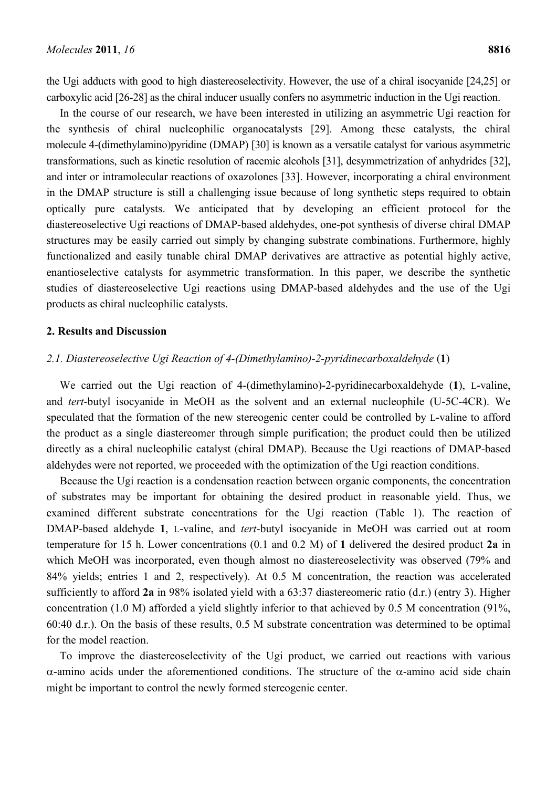the Ugi adducts with good to high diastereoselectivity. However, the use of a chiral isocyanide [24,25] or carboxylic acid [26-28] as the chiral inducer usually confers no asymmetric induction in the Ugi reaction.

In the course of our research, we have been interested in utilizing an asymmetric Ugi reaction for the synthesis of chiral nucleophilic organocatalysts [29]. Among these catalysts, the chiral molecule 4-(dimethylamino)pyridine (DMAP) [30] is known as a versatile catalyst for various asymmetric transformations, such as kinetic resolution of racemic alcohols [31], desymmetrization of anhydrides [32], and inter or intramolecular reactions of oxazolones [33]. However, incorporating a chiral environment in the DMAP structure is still a challenging issue because of long synthetic steps required to obtain optically pure catalysts. We anticipated that by developing an efficient protocol for the diastereoselective Ugi reactions of DMAP-based aldehydes, one-pot synthesis of diverse chiral DMAP structures may be easily carried out simply by changing substrate combinations. Furthermore, highly functionalized and easily tunable chiral DMAP derivatives are attractive as potential highly active, enantioselective catalysts for asymmetric transformation. In this paper, we describe the synthetic studies of diastereoselective Ugi reactions using DMAP-based aldehydes and the use of the Ugi products as chiral nucleophilic catalysts.

#### **2. Results and Discussion**

## *2.1. Diastereoselective Ugi Reaction of 4-(Dimethylamino)-2-pyridinecarboxaldehyde* (**1**)

We carried out the Ugi reaction of 4-(dimethylamino)-2-pyridinecarboxaldehyde (**1**), L-valine, and *tert*-butyl isocyanide in MeOH as the solvent and an external nucleophile (U-5C-4CR). We speculated that the formation of the new stereogenic center could be controlled by L-valine to afford the product as a single diastereomer through simple purification; the product could then be utilized directly as a chiral nucleophilic catalyst (chiral DMAP). Because the Ugi reactions of DMAP-based aldehydes were not reported, we proceeded with the optimization of the Ugi reaction conditions.

Because the Ugi reaction is a condensation reaction between organic components, the concentration of substrates may be important for obtaining the desired product in reasonable yield. Thus, we examined different substrate concentrations for the Ugi reaction (Table 1). The reaction of DMAP-based aldehyde **1**, L-valine, and *tert*-butyl isocyanide in MeOH was carried out at room temperature for 15 h. Lower concentrations (0.1 and 0.2 M) of **1** delivered the desired product **2a** in which MeOH was incorporated, even though almost no diastereoselectivity was observed (79% and 84% yields; entries 1 and 2, respectively). At 0.5 M concentration, the reaction was accelerated sufficiently to afford **2a** in 98% isolated yield with a 63:37 diastereomeric ratio (d.r.) (entry 3). Higher concentration (1.0 M) afforded a yield slightly inferior to that achieved by 0.5 M concentration (91%, 60:40 d.r.). On the basis of these results, 0.5 M substrate concentration was determined to be optimal for the model reaction.

To improve the diastereoselectivity of the Ugi product, we carried out reactions with various  $\alpha$ -amino acids under the aforementioned conditions. The structure of the  $\alpha$ -amino acid side chain might be important to control the newly formed stereogenic center.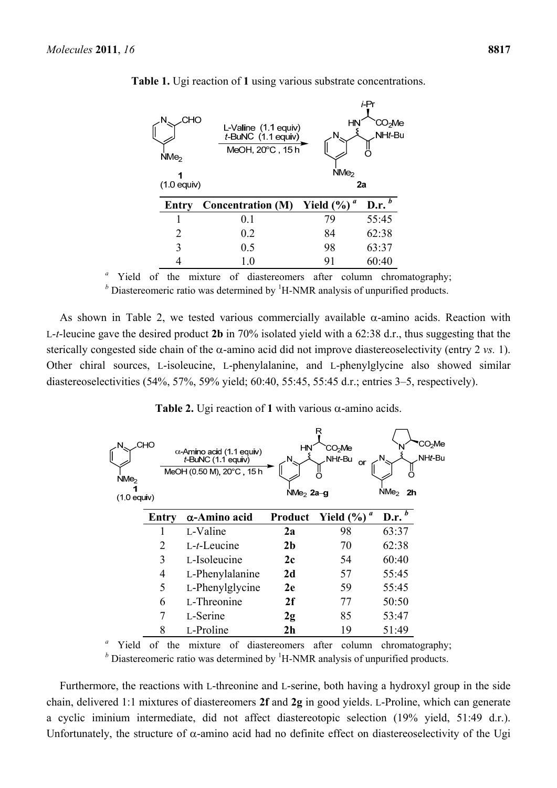| CHO<br>N<br>NMe <sub>2</sub><br>1<br>$(1.0$ equiv) | L-Valine (1.1 equiv)<br>$t$ -BuNC $(1.1$ equiv)<br>MeOH, 20°C, 15h | HN<br>NMe <sub>2</sub> | i-Pr<br>℃O <sub>2</sub> Me<br>NHt-Bu<br>2a |
|----------------------------------------------------|--------------------------------------------------------------------|------------------------|--------------------------------------------|
| Entry                                              | <b>Concentration (M)</b>                                           | a<br>Yield $(\% )$     | D.r. $b$                                   |
|                                                    | 0.1                                                                | 79                     | 55:45                                      |
| 2                                                  | 0.2                                                                | 84                     | 62:38                                      |
| 3                                                  | 0.5                                                                | 98                     | 63:37                                      |
|                                                    | 1.0                                                                | 91                     | 60:40                                      |

**Table 1.** Ugi reaction of **1** using various substrate concentrations.

<sup>*a*</sup> Yield of the mixture of diastereomers after column chromatography;

<sup>*b*</sup> Diastereomeric ratio was determined by <sup>1</sup>H-NMR analysis of unpurified products.

As shown in Table 2, we tested various commercially available  $\alpha$ -amino acids. Reaction with L-*t*-leucine gave the desired product **2b** in 70% isolated yield with a 62:38 d.r., thus suggesting that the sterically congested side chain of the  $\alpha$ -amino acid did not improve diastereoselectivity (entry 2 *vs.* 1). Other chiral sources, L-isoleucine, L-phenylalanine, and L-phenylglycine also showed similar diastereoselectivities (54%, 57%, 59% yield; 60:40, 55:45, 55:45 d.r.; entries 3–5, respectively).

**Table 2.** Ugi reaction of 1 with various  $\alpha$ -amino acids.

| N<br>NMe <sub>2</sub><br>$(1.0$ equiv) | СНО   | $\alpha$ Amino acid (1.1 equiv)<br>$t$ -BuNC $(1.1)$ equiv)<br>MeOH (0.50 M), 20°C, 15 h | НN<br>N<br>$NMe2$ 2a-g | R<br>CO <sub>2</sub> Me<br>NHt-Bu<br>or | CO <sub>2</sub> Me<br>NHt-Bu<br>NMe <sub>2</sub><br>2 <sub>h</sub> |
|----------------------------------------|-------|------------------------------------------------------------------------------------------|------------------------|-----------------------------------------|--------------------------------------------------------------------|
|                                        | Entry | $\alpha$ -Amino acid                                                                     | Product                | Yield $(\%)$ <sup><i>a</i></sup>        | D.r. $b$                                                           |
|                                        |       | L-Valine                                                                                 | 2a                     | 98                                      | 63:37                                                              |
|                                        | 2     | $L-t$ -Leucine                                                                           | 2 <sub>b</sub>         | 70                                      | 62:38                                                              |
|                                        | 3     | L-Isoleucine                                                                             | 2c                     | 54                                      | 60:40                                                              |
|                                        | 4     | L-Phenylalanine                                                                          | 2d                     | 57                                      | 55:45                                                              |
|                                        | 5     | L-Phenylglycine                                                                          | 2e                     | 59                                      | 55:45                                                              |
|                                        | 6     | L-Threonine                                                                              | 2f                     | 77                                      | 50:50                                                              |
|                                        |       | L-Serine                                                                                 | 2g                     | 85                                      | 53:47                                                              |
|                                        | 8     | L-Proline                                                                                | 2 <sub>h</sub>         | 19                                      | 51:49                                                              |

<sup>*a*</sup> Yield of the mixture of diastereomers after column chromatography; <sup>*b*</sup> Diastereomeric ratio was determined by <sup>1</sup>H-NMR analysis of unpurified products.

Furthermore, the reactions with L-threonine and L-serine, both having a hydroxyl group in the side chain, delivered 1:1 mixtures of diastereomers **2f** and **2g** in good yields. L-Proline, which can generate a cyclic iminium intermediate, did not affect diastereotopic selection (19% yield, 51:49 d.r.). Unfortunately, the structure of  $\alpha$ -amino acid had no definite effect on diastereoselectivity of the Ugi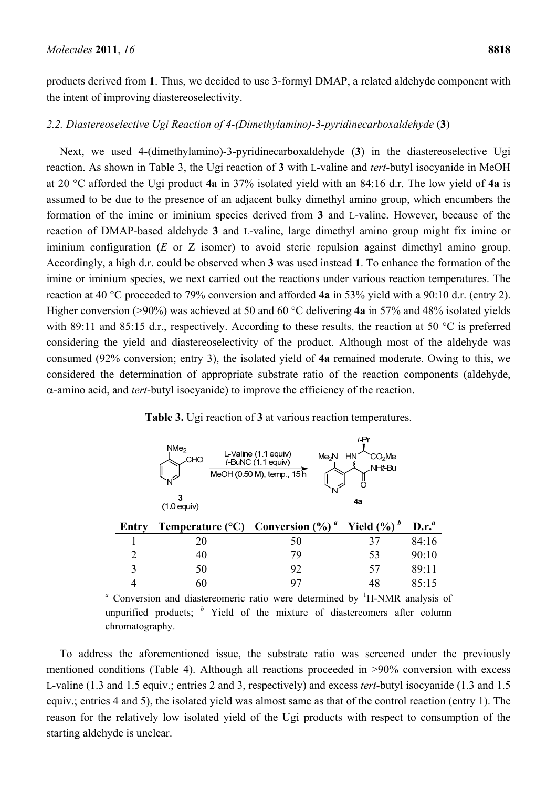products derived from **1**. Thus, we decided to use 3-formyl DMAP, a related aldehyde component with the intent of improving diastereoselectivity.

#### *2.2. Diastereoselective Ugi Reaction of 4-(Dimethylamino)-3-pyridinecarboxaldehyde* (**3**)

Next, we used 4-(dimethylamino)-3-pyridinecarboxaldehyde (**3**) in the diastereoselective Ugi reaction. As shown in Table 3, the Ugi reaction of **3** with L-valine and *tert*-butyl isocyanide in MeOH at 20 °C afforded the Ugi product **4a** in 37% isolated yield with an 84:16 d.r. The low yield of **4a** is assumed to be due to the presence of an adjacent bulky dimethyl amino group, which encumbers the formation of the imine or iminium species derived from **3** and L-valine. However, because of the reaction of DMAP-based aldehyde **3** and L-valine, large dimethyl amino group might fix imine or iminium configuration (*E* or *Z* isomer) to avoid steric repulsion against dimethyl amino group. Accordingly, a high d.r. could be observed when **3** was used instead **1**. To enhance the formation of the imine or iminium species, we next carried out the reactions under various reaction temperatures. The reaction at 40 °C proceeded to 79% conversion and afforded **4a** in 53% yield with a 90:10 d.r. (entry 2). Higher conversion (>90%) was achieved at 50 and 60 °C delivering **4a** in 57% and 48% isolated yields with 89:11 and 85:15 d.r., respectively. According to these results, the reaction at 50 °C is preferred considering the yield and diastereoselectivity of the product. Although most of the aldehyde was consumed (92% conversion; entry 3), the isolated yield of **4a** remained moderate. Owing to this, we considered the determination of appropriate substrate ratio of the reaction components (aldehyde, -amino acid, and *tert*-butyl isocyanide) to improve the efficiency of the reaction.

|       | NMe <sub>2</sub><br>.СНО<br>N<br>3<br>$(1.0$ equiv) | L-Valine (1 1 equiv)<br>Me <sub>2</sub> N<br>$t$ -BuNC (1.1 equiv)<br>MeOH (0.50 M), temp., 15 h<br>N | 1-⊢r<br>HN<br>CO <sub>2</sub> Me<br>NHt-Bu<br>4a |          |
|-------|-----------------------------------------------------|-------------------------------------------------------------------------------------------------------|--------------------------------------------------|----------|
| Entry | Temperature $(^{\circ}C)$                           | a<br>Conversion (%)                                                                                   | Yield $(\%)$ <sup>b</sup>                        | $D.r.^a$ |
|       | 20                                                  | 50                                                                                                    | 37                                               | 84:16    |
| 2     | 40                                                  | 79                                                                                                    | 53                                               | 90:10    |
| 3     | 50                                                  | 92                                                                                                    | 57                                               | 89:11    |
|       | 60                                                  | 97                                                                                                    | 48                                               | 85:15    |

**Table 3.** Ugi reaction of **3** at various reaction temperatures.

<sup>a</sup> Conversion and diastereomeric ratio were determined by <sup>1</sup>H-NMR analysis of unpurified products; *<sup>b</sup>* Yield of the mixture of diastereomers after column chromatography.

To address the aforementioned issue, the substrate ratio was screened under the previously mentioned conditions (Table 4). Although all reactions proceeded in >90% conversion with excess L-valine (1.3 and 1.5 equiv.; entries 2 and 3, respectively) and excess *tert*-butyl isocyanide (1.3 and 1.5 equiv.; entries 4 and 5), the isolated yield was almost same as that of the control reaction (entry 1). The reason for the relatively low isolated yield of the Ugi products with respect to consumption of the starting aldehyde is unclear.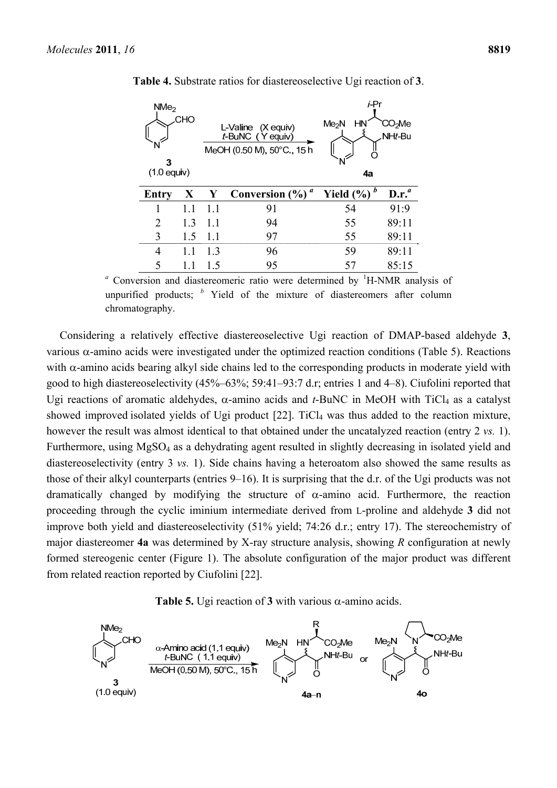| NMe <sub>2</sub><br>CHO<br>3<br>$(1.0$ equiv) |     | L-Valine (X equiv)<br>t-BuNC (Yequiv)<br>MeOH (0.50 M), 50°C., 15 h |                         | <i>i</i> -Pr<br>Me <sub>2</sub> N<br>HN<br>CO <sub>2</sub> Me<br>NHt-Bu<br>N<br>4a |          |
|-----------------------------------------------|-----|---------------------------------------------------------------------|-------------------------|------------------------------------------------------------------------------------|----------|
| Entry                                         | X   | Y                                                                   | a<br>Conversion $(\% )$ | Yield $(\%)$ <sup>b</sup>                                                          | $D.r.^a$ |
|                                               | 11  | 1.1                                                                 | 91                      | 54                                                                                 | 91:9     |
| $\mathfrak{D}_{\mathfrak{p}}$                 | 1.3 | 11                                                                  | 94                      | 55                                                                                 | 89:11    |
| 3                                             | 1.5 | 1.1                                                                 | 97                      | 55                                                                                 | 89:11    |
| 4                                             | 11  | 13                                                                  | 96                      | 59                                                                                 | 89:11    |
| 5                                             |     | 15                                                                  | 95                      | 57                                                                                 | 85:15    |

**Table 4.** Substrate ratios for diastereoselective Ugi reaction of **3**.

<sup>a</sup> Conversion and diastereomeric ratio were determined by <sup>1</sup>H-NMR analysis of unpurified products; *<sup>b</sup>* Yield of the mixture of diastereomers after column chromatography.

Considering a relatively effective diastereoselective Ugi reaction of DMAP-based aldehyde **3**, various  $\alpha$ -amino acids were investigated under the optimized reaction conditions (Table 5). Reactions with  $\alpha$ -amino acids bearing alkyl side chains led to the corresponding products in moderate yield with good to high diastereoselectivity (45%–63%; 59:41–93:7 d.r; entries 1 and 4–8). Ciufolini reported that Ugi reactions of aromatic aldehydes,  $\alpha$ -amino acids and *t*-BuNC in MeOH with TiCl<sub>4</sub> as a catalyst showed improved isolated yields of Ugi product [22]. TiCl<sub>4</sub> was thus added to the reaction mixture, however the result was almost identical to that obtained under the uncatalyzed reaction (entry 2 *vs.* 1). Furthermore, using MgSO<sub>4</sub> as a dehydrating agent resulted in slightly decreasing in isolated yield and diastereoselectivity (entry 3 *vs.* 1). Side chains having a heteroatom also showed the same results as those of their alkyl counterparts (entries 9–16). It is surprising that the d.r. of the Ugi products was not dramatically changed by modifying the structure of  $\alpha$ -amino acid. Furthermore, the reaction proceeding through the cyclic iminium intermediate derived from L-proline and aldehyde **3** did not improve both yield and diastereoselectivity (51% yield; 74:26 d.r.; entry 17). The stereochemistry of major diastereomer **4a** was determined by X-ray structure analysis, showing *R* configuration at newly formed stereogenic center (Figure 1). The absolute configuration of the major product was different from related reaction reported by Ciufolini [22].



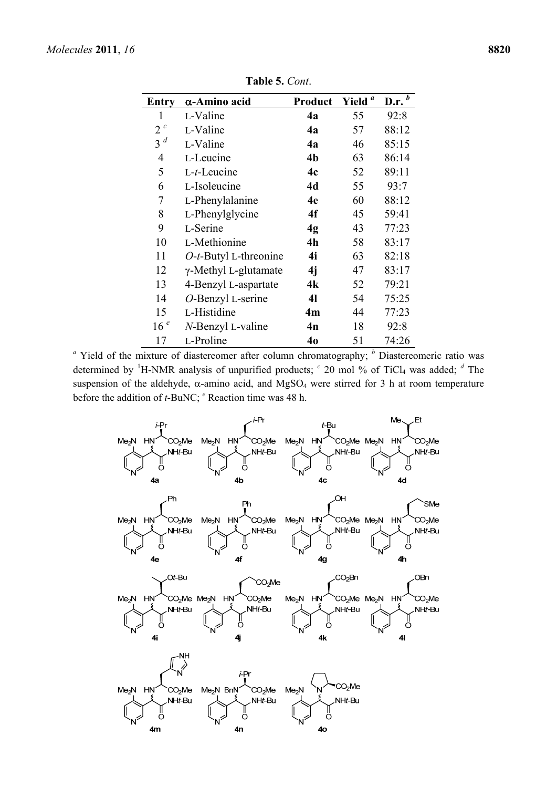| <b>Entry</b>    | α-Amino acid             | Product        | Yield <sup>a</sup> | D.r. $\overline{b}$ |
|-----------------|--------------------------|----------------|--------------------|---------------------|
| 1               | L-Valine                 | 4a             | 55                 | 92:8                |
| $2^{c}$         | L-Valine                 | 4a             | 57                 | 88:12               |
| $3^d$           | L-Valine                 | 4a             | 46                 | 85:15               |
| 4               | L-Leucine                | 4 <sub>b</sub> | 63                 | 86:14               |
| 5               | $L-t$ -Leucine           | 4c             | 52                 | 89:11               |
| 6               | L-Isoleucine             | 4d             | 55                 | 93:7                |
| 7               | L-Phenylalanine          | 4e             | 60                 | 88:12               |
| 8               | L-Phenylglycine          | 4f             | 45                 | 59:41               |
| 9               | L-Serine                 | 4g             | 43                 | 77:23               |
| 10              | L-Methionine             | 4 <sub>h</sub> | 58                 | 83:17               |
| 11              | $O-t$ -Butyl L-threonine | 4i             | 63                 | 82:18               |
| 12              | γ-Methyl L-glutamate     | 4j             | 47                 | 83:17               |
| 13              | 4-Benzyl L-aspartate     | 4k             | 52                 | 79:21               |
| 14              | O-Benzyl L-serine        | 41             | 54                 | 75:25               |
| 15              | L-Histidine              | 4m             | 44                 | 77:23               |
| 16 <sup>e</sup> | N-Benzyl L-valine        | 4n             | 18                 | 92:8                |
| 17              | L-Proline                | 40             | 51                 | 74:26               |

**Table 5.** *Cont*.

<sup>a</sup> Yield of the mixture of diastereomer after column chromatography; <sup>*b*</sup> Diastereomeric ratio was determined by <sup>1</sup>H-NMR analysis of unpurified products; <sup>*c*</sup> 20 mol % of TiCl<sub>4</sub> was added; <sup>*d*</sup> The suspension of the aldehyde,  $\alpha$ -amino acid, and MgSO<sub>4</sub> were stirred for 3 h at room temperature before the addition of *t*-BuNC; <sup>*e*</sup> Reaction time was 48 h.

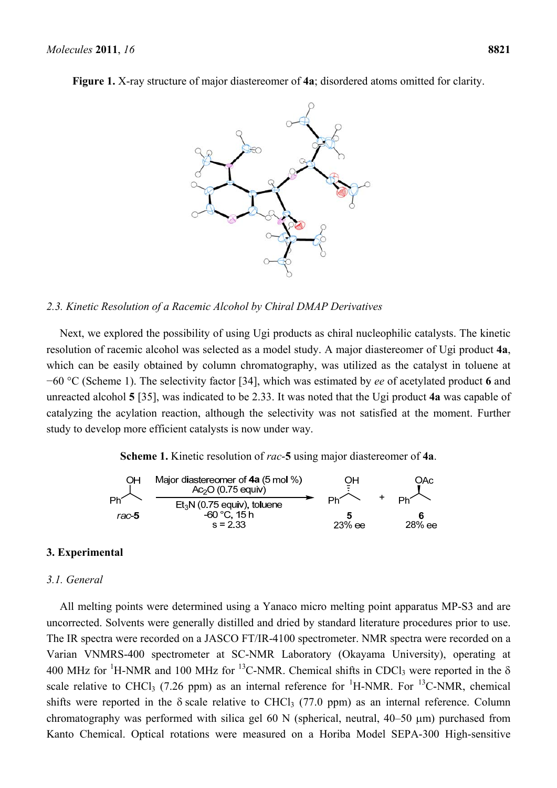**Figure 1.** X-ray structure of major diastereomer of **4a**; disordered atoms omitted for clarity.



#### *2.3. Kinetic Resolution of a Racemic Alcohol by Chiral DMAP Derivatives*

Next, we explored the possibility of using Ugi products as chiral nucleophilic catalysts. The kinetic resolution of racemic alcohol was selected as a model study. A major diastereomer of Ugi product **4a**, which can be easily obtained by column chromatography, was utilized as the catalyst in toluene at −60 °C (Scheme 1). The selectivity factor [34], which was estimated by *ee* of acetylated product **6** and unreacted alcohol **5** [35], was indicated to be 2.33. It was noted that the Ugi product **4a** was capable of catalyzing the acylation reaction, although the selectivity was not satisfied at the moment. Further study to develop more efficient catalysts is now under way.

**Scheme 1.** Kinetic resolution of *rac*-**5** using major diastereomer of **4a**.



## **3. Experimental**

#### *3.1. General*

All melting points were determined using a Yanaco micro melting point apparatus MP-S3 and are uncorrected. Solvents were generally distilled and dried by standard literature procedures prior to use. The IR spectra were recorded on a JASCO FT/IR-4100 spectrometer. NMR spectra were recorded on a Varian VNMRS-400 spectrometer at SC-NMR Laboratory (Okayama University), operating at 400 MHz for <sup>1</sup>H-NMR and 100 MHz for <sup>13</sup>C-NMR. Chemical shifts in CDCl<sub>3</sub> were reported in the  $\delta$ scale relative to CHCl<sub>3</sub> (7.26 ppm) as an internal reference for <sup>1</sup>H-NMR. For <sup>13</sup>C-NMR, chemical shifts were reported in the  $\delta$  scale relative to CHCl<sub>3</sub> (77.0 ppm) as an internal reference. Column chromatography was performed with silica gel 60 N (spherical, neutral,  $40-50 \mu m$ ) purchased from Kanto Chemical. Optical rotations were measured on a Horiba Model SEPA-300 High-sensitive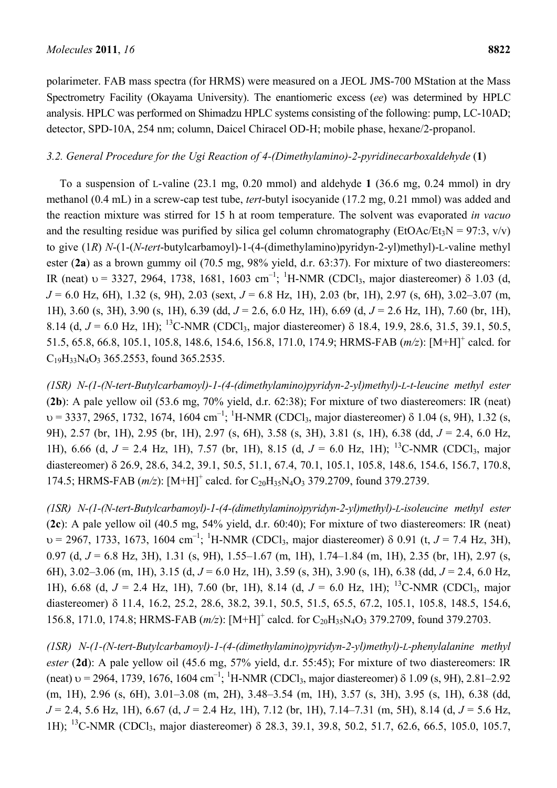polarimeter. FAB mass spectra (for HRMS) were measured on a JEOL JMS-700 MStation at the Mass Spectrometry Facility (Okayama University). The enantiomeric excess (*ee*) was determined by HPLC analysis. HPLC was performed on Shimadzu HPLC systems consisting of the following: pump, LC-10AD; detector, SPD-10A, 254 nm; column, Daicel Chiracel OD-H; mobile phase, hexane/2-propanol.

## *3.2. General Procedure for the Ugi Reaction of 4-(Dimethylamino)-2-pyridinecarboxaldehyde* (**1**)

To a suspension of L-valine (23.1 mg, 0.20 mmol) and aldehyde **1** (36.6 mg, 0.24 mmol) in dry methanol (0.4 mL) in a screw-cap test tube, *tert*-butyl isocyanide (17.2 mg, 0.21 mmol) was added and the reaction mixture was stirred for 15 h at room temperature. The solvent was evaporated *in vacuo* and the resulting residue was purified by silica gel column chromatography (EtOAc/Et<sub>3</sub>N = 97:3, v/v) to give (1*R*) *N*-(1-(*N*-*tert*-butylcarbamoyl)-1-(4-(dimethylamino)pyridyn-2-yl)methyl)-L-valine methyl ester (**2a**) as a brown gummy oil (70.5 mg, 98% yield, d.r. 63:37). For mixture of two diastereomers: IR (neat)  $v = 3327, 2964, 1738, 1681, 1603$  cm<sup>-1</sup>; <sup>1</sup>H-NMR (CDCl<sub>3</sub>, major diastereomer)  $\delta$  1.03 (d, *J* = 6.0 Hz, 6H), 1.32 (s, 9H), 2.03 (sext, *J* = 6.8 Hz, 1H), 2.03 (br, 1H), 2.97 (s, 6H), 3.02–3.07 (m, 1H), 3.60 (s, 3H), 3.90 (s, 1H), 6.39 (dd, *J* = 2.6, 6.0 Hz, 1H), 6.69 (d, *J* = 2.6 Hz, 1H), 7.60 (br, 1H), 8.14 (d,  $J = 6.0$  Hz, 1H); <sup>13</sup>C-NMR (CDCl<sub>3</sub>, major diastereomer)  $\delta$  18.4, 19.9, 28.6, 31.5, 39.1, 50.5, 51.5, 65.8, 66.8, 105.1, 105.8, 148.6, 154.6, 156.8, 171.0, 174.9; HRMS-FAB (*m/z*): [M+H]+ calcd. for C<sub>19</sub>H<sub>33</sub>N<sub>4</sub>O<sub>3</sub> 365.2553, found 365.2535.

*(1SR) N-(1-(N-tert-Butylcarbamoyl)-1-(4-(dimethylamino)pyridyn-2-yl)methyl)-L-t-leucine methyl ester* (**2b**): A pale yellow oil (53.6 mg, 70% yield, d.r. 62:38); For mixture of two diastereomers: IR (neat)  $v = 3337, 2965, 1732, 1674, 1604 cm<sup>-1</sup>;$  <sup>1</sup>H-NMR (CDCl<sub>3</sub>, major diastereomer)  $\delta$  1.04 (s, 9H), 1.32 (s, 9H), 2.57 (br, 1H), 2.95 (br, 1H), 2.97 (s, 6H), 3.58 (s, 3H), 3.81 (s, 1H), 6.38 (dd, *J* = 2.4, 6.0 Hz, 1H), 6.66 (d,  $J = 2.4$  Hz, 1H), 7.57 (br, 1H), 8.15 (d,  $J = 6.0$  Hz, 1H); <sup>13</sup>C-NMR (CDCl<sub>3</sub>, major diastereomer) 26.9, 28.6, 34.2, 39.1, 50.5, 51.1, 67.4, 70.1, 105.1, 105.8, 148.6, 154.6, 156.7, 170.8, 174.5; HRMS-FAB (*m/z*): [M+H]<sup>+</sup> calcd. for C<sub>20</sub>H<sub>35</sub>N<sub>4</sub>O<sub>3</sub> 379.2709, found 379.2739.

*(1SR) N-(1-(N-tert-Butylcarbamoyl)-1-(4-(dimethylamino)pyridyn-2-yl)methyl)-L-isoleucine methyl ester* (**2c**): A pale yellow oil (40.5 mg, 54% yield, d.r. 60:40); For mixture of two diastereomers: IR (neat)  $v = 2967, 1733, 1673, 1604$  cm<sup>-1</sup>; <sup>1</sup>H-NMR (CDCl<sub>3</sub>, major diastereomer)  $\delta$  0.91 (t, *J* = 7.4 Hz, 3H), 0.97 (d, *J* = 6.8 Hz, 3H), 1.31 (s, 9H), 1.55–1.67 (m, 1H), 1.74–1.84 (m, 1H), 2.35 (br, 1H), 2.97 (s, 6H), 3.02–3.06 (m, 1H), 3.15 (d, *J* = 6.0 Hz, 1H), 3.59 (s, 3H), 3.90 (s, 1H), 6.38 (dd, *J* = 2.4, 6.0 Hz, 1H), 6.68 (d,  $J = 2.4$  Hz, 1H), 7.60 (br, 1H), 8.14 (d,  $J = 6.0$  Hz, 1H); <sup>13</sup>C-NMR (CDCl<sub>3</sub>, major diastereomer)  $\delta$  11.4, 16.2, 25.2, 28.6, 38.2, 39.1, 50.5, 51.5, 65.5, 67.2, 105.1, 105.8, 148.5, 154.6, 156.8, 171.0, 174.8; HRMS-FAB (*m/z*): [M+H]<sup>+</sup> calcd. for C<sub>20</sub>H<sub>35</sub>N<sub>4</sub>O<sub>3</sub> 379.2709, found 379.2703.

*(1SR) N-(1-(N-tert-Butylcarbamoyl)-1-(4-(dimethylamino)pyridyn-2-yl)methyl)-L-phenylalanine methyl ester* (**2d**): A pale yellow oil (45.6 mg, 57% yield, d.r. 55:45); For mixture of two diastereomers: IR (neat)  $v = 2964$ , 1739, 1676, 1604 cm<sup>-1</sup>; <sup>1</sup>H-NMR (CDCl<sub>3</sub>, major diastereomer)  $\delta$  1.09 (s, 9H), 2.81–2.92 (m, 1H), 2.96 (s, 6H), 3.01–3.08 (m, 2H), 3.48–3.54 (m, 1H), 3.57 (s, 3H), 3.95 (s, 1H), 6.38 (dd, *J* = 2.4, 5.6 Hz, 1H), 6.67 (d, *J* = 2.4 Hz, 1H), 7.12 (br, 1H), 7.14–7.31 (m, 5H), 8.14 (d, *J* = 5.6 Hz, 1H); <sup>13</sup>C-NMR (CDCl<sub>3</sub>, major diastereomer) δ 28.3, 39.1, 39.8, 50.2, 51.7, 62.6, 66.5, 105.0, 105.7,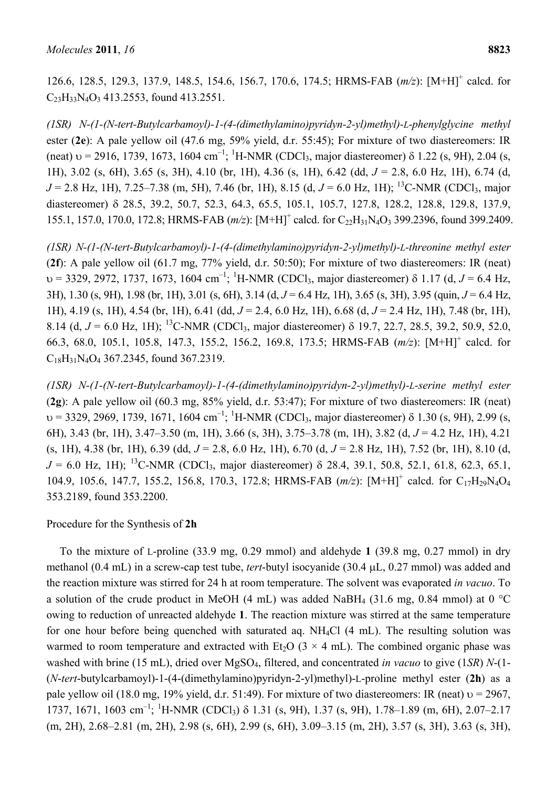126.6, 128.5, 129.3, 137.9, 148.5, 154.6, 156.7, 170.6, 174.5; HRMS-FAB ( $m/z$ ): [M+H]<sup>+</sup> calcd. for  $C_{23}H_{33}N_4O_3$  413.2553, found 413.2551.

*(1SR) N-(1-(N-tert-Butylcarbamoyl)-1-(4-(dimethylamino)pyridyn-2-yl)methyl)-L-phenylglycine methyl* ester (**2e**): A pale yellow oil (47.6 mg, 59% yield, d.r. 55:45); For mixture of two diastereomers: IR (neat)  $v = 2916$ , 1739, 1673, 1604 cm<sup>-1</sup>; <sup>1</sup>H-NMR (CDCl<sub>3</sub>, major diastereomer)  $\delta$  1.22 (s, 9H), 2.04 (s, 1H), 3.02 (s, 6H), 3.65 (s, 3H), 4.10 (br, 1H), 4.36 (s, 1H), 6.42 (dd, *J* = 2.8, 6.0 Hz, 1H), 6.74 (d, *J* = 2.8 Hz, 1H), 7.25–7.38 (m, 5H), 7.46 (br, 1H), 8.15 (d, *J* = 6.0 Hz, 1H); <sup>13</sup>C-NMR (CDCl<sub>3</sub>, major diastereomer)  $\delta$  28.5, 39.2, 50.7, 52.3, 64.3, 65.5, 105.1, 105.7, 127.8, 128.2, 128.8, 129.8, 137.9, 155.1, 157.0, 170.0, 172.8; HRMS-FAB (*m/z*): [M+H]<sup>+</sup> calcd. for C<sub>22</sub>H<sub>31</sub>N<sub>4</sub>O<sub>3</sub> 399.2396, found 399.2409.

*(1SR) N-(1-(N-tert-Butylcarbamoyl)-1-(4-(dimethylamino)pyridyn-2-yl)methyl)-L-threonine methyl ester* (**2f**): A pale yellow oil (61.7 mg, 77% yield, d.r. 50:50); For mixture of two diastereomers: IR (neat)  $v = 3329, 2972, 1737, 1673, 1604$  cm<sup>-1</sup>; <sup>1</sup>H-NMR (CDCl<sub>3</sub>, major diastereomer)  $\delta$  1.17 (d, *J* = 6.4 Hz, 3H), 1.30 (s, 9H), 1.98 (br, 1H), 3.01 (s, 6H), 3.14 (d, *J* = 6.4 Hz, 1H), 3.65 (s, 3H), 3.95 (quin, *J* = 6.4 Hz, 1H), 4.19 (s, 1H), 4.54 (br, 1H), 6.41 (dd, *J* = 2.4, 6.0 Hz, 1H), 6.68 (d, *J* = 2.4 Hz, 1H), 7.48 (br, 1H), 8.14 (d,  $J = 6.0$  Hz, 1H); <sup>13</sup>C-NMR (CDCl<sub>3</sub>, major diastereomer)  $\delta$  19.7, 22.7, 28.5, 39.2, 50.9, 52.0, 66.3, 68.0, 105.1, 105.8, 147.3, 155.2, 156.2, 169.8, 173.5; HRMS-FAB (*m/z*): [M+H]+ calcd. for C18H31N4O4 367.2345, found 367.2319.

*(1SR) N-(1-(N-tert-Butylcarbamoyl)-1-(4-(dimethylamino)pyridyn-2-yl)methyl)-L-serine methyl ester* (**2g**): A pale yellow oil (60.3 mg, 85% yield, d.r. 53:47); For mixture of two diastereomers: IR (neat)  $v = 3329, 2969, 1739, 1671, 1604 cm<sup>-1</sup>;$  <sup>1</sup>H-NMR (CDCl<sub>3</sub>, major diastereomer)  $\delta$  1.30 (s, 9H), 2.99 (s, 6H), 3.43 (br, 1H), 3.47–3.50 (m, 1H), 3.66 (s, 3H), 3.75–3.78 (m, 1H), 3.82 (d, *J* = 4.2 Hz, 1H), 4.21 (s, 1H), 4.38 (br, 1H), 6.39 (dd, *J* = 2.8, 6.0 Hz, 1H), 6.70 (d, *J* = 2.8 Hz, 1H), 7.52 (br, 1H), 8.10 (d,  $J = 6.0$  Hz, 1H); <sup>13</sup>C-NMR (CDCl<sub>3</sub>, major diastereomer)  $\delta$  28.4, 39.1, 50.8, 52.1, 61.8, 62.3, 65.1, 104.9, 105.6, 147.7, 155.2, 156.8, 170.3, 172.8; HRMS-FAB ( $m/z$ ): [M+H]<sup>+</sup> calcd. for C<sub>17</sub>H<sub>29</sub>N<sub>4</sub>O<sub>4</sub> 353.2189, found 353.2200.

Procedure for the Synthesis of **2h**

To the mixture of L-proline (33.9 mg, 0.29 mmol) and aldehyde **1** (39.8 mg, 0.27 mmol) in dry methanol (0.4 mL) in a screw-cap test tube, *tert*-butyl isocyanide (30.4 µL, 0.27 mmol) was added and the reaction mixture was stirred for 24 h at room temperature. The solvent was evaporated *in vacuo*. To a solution of the crude product in MeOH (4 mL) was added NaBH<sub>4</sub> (31.6 mg, 0.84 mmol) at 0 °C owing to reduction of unreacted aldehyde **1**. The reaction mixture was stirred at the same temperature for one hour before being quenched with saturated aq. NH4Cl (4 mL). The resulting solution was warmed to room temperature and extracted with Et<sub>2</sub>O ( $3 \times 4$  mL). The combined organic phase was washed with brine (15 mL), dried over MgSO4, filtered, and concentrated *in vacuo* to give (1*SR*) *N*-(1- (*N*-*tert*-butylcarbamoyl)-1-(4-(dimethylamino)pyridyn-2-yl)methyl)-L-proline methyl ester (**2h**) as a pale yellow oil (18.0 mg, 19% yield, d.r. 51:49). For mixture of two diastereomers: IR (neat)  $v = 2967$ , 1737, 1671, 1603 cm<sup>-1</sup>; <sup>1</sup>H-NMR (CDCl<sub>3</sub>)  $\delta$  1.31 (s, 9H), 1.37 (s, 9H), 1.78–1.89 (m, 6H), 2.07–2.17 (m, 2H), 2.68–2.81 (m, 2H), 2.98 (s, 6H), 2.99 (s, 6H), 3.09–3.15 (m, 2H), 3.57 (s, 3H), 3.63 (s, 3H),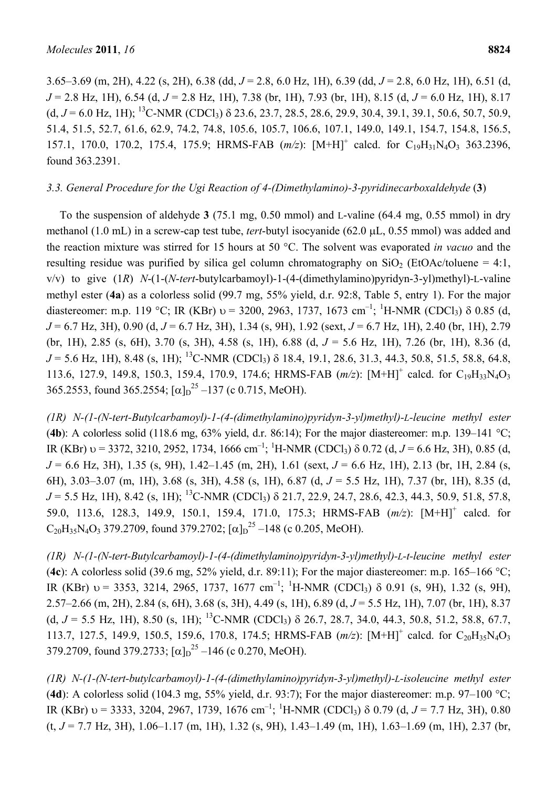3.65–3.69 (m, 2H), 4.22 (s, 2H), 6.38 (dd, *J* = 2.8, 6.0 Hz, 1H), 6.39 (dd, *J* = 2.8, 6.0 Hz, 1H), 6.51 (d, *J* = 2.8 Hz, 1H), 6.54 (d, *J* = 2.8 Hz, 1H), 7.38 (br, 1H), 7.93 (br, 1H), 8.15 (d, *J* = 6.0 Hz, 1H), 8.17  $(d, J = 6.0 \text{ Hz}, 1\text{ H})$ ; <sup>13</sup>C-NMR (CDCl<sub>3</sub>)  $\delta$  23.6, 23.7, 28.5, 28.6, 29.9, 30.4, 39.1, 39.1, 50.6, 50.7, 50.9, 51.4, 51.5, 52.7, 61.6, 62.9, 74.2, 74.8, 105.6, 105.7, 106.6, 107.1, 149.0, 149.1, 154.7, 154.8, 156.5, 157.1, 170.0, 170.2, 175.4, 175.9; HRMS-FAB  $(m/z)$ :  $[M+H]^+$  calcd. for C<sub>19</sub>H<sub>31</sub>N<sub>4</sub>O<sub>3</sub> 363.2396, found 363.2391.

## *3.3. General Procedure for the Ugi Reaction of 4-(Dimethylamino)-3-pyridinecarboxaldehyde* (**3**)

To the suspension of aldehyde **3** (75.1 mg, 0.50 mmol) and L-valine (64.4 mg, 0.55 mmol) in dry methanol (1.0 mL) in a screw-cap test tube, *tert*-butyl isocyanide (62.0 µL, 0.55 mmol) was added and the reaction mixture was stirred for 15 hours at 50 °C. The solvent was evaporated *in vacuo* and the resulting residue was purified by silica gel column chromatography on  $SiO<sub>2</sub>$  (EtOAc/toluene = 4:1, v/v) to give (1*R*) *N*-(1-(*N*-*tert*-butylcarbamoyl)-1-(4-(dimethylamino)pyridyn-3-yl)methyl)-L-valine methyl ester (**4a**) as a colorless solid (99.7 mg, 55% yield, d.r. 92:8, Table 5, entry 1). For the major diastereomer: m.p. 119 °C; IR (KBr)  $v = 3200, 2963, 1737, 1673$  cm<sup>-1</sup>; <sup>1</sup>H-NMR (CDCl<sub>3</sub>)  $\delta$  0.85 (d, *J* = 6.7 Hz, 3H), 0.90 (d, *J* = 6.7 Hz, 3H), 1.34 (s, 9H), 1.92 (sext, *J* = 6.7 Hz, 1H), 2.40 (br, 1H), 2.79 (br, 1H), 2.85 (s, 6H), 3.70 (s, 3H), 4.58 (s, 1H), 6.88 (d, *J* = 5.6 Hz, 1H), 7.26 (br, 1H), 8.36 (d,  $J = 5.6$  Hz, 1H), 8.48 (s, 1H); <sup>13</sup>C-NMR (CDCl<sub>3</sub>)  $\delta$  18.4, 19.1, 28.6, 31.3, 44.3, 50.8, 51.5, 58.8, 64.8, 113.6, 127.9, 149.8, 150.3, 159.4, 170.9, 174.6; HRMS-FAB ( $m/z$ ): [M+H]<sup>+</sup> calcd. for C<sub>19</sub>H<sub>33</sub>N<sub>4</sub>O<sub>3</sub> 365.2553, found 365.2554;  $[\alpha]_D^{25}$  –137 (c 0.715, MeOH).

*(1R) N-(1-(N-tert-Butylcarbamoyl)-1-(4-(dimethylamino)pyridyn-3-yl)methyl)-L-leucine methyl ester* (**4b**): A colorless solid (118.6 mg, 63% yield, d.r. 86:14); For the major diastereomer: m.p. 139–141 °C; IR (KBr)  $v = 3372, 3210, 2952, 1734, 1666$  cm<sup>-1</sup>; <sup>1</sup>H-NMR (CDCl<sub>3</sub>)  $\delta$  0.72 (d, *J* = 6.6 Hz, 3H), 0.85 (d, *J* = 6.6 Hz, 3H), 1.35 (s, 9H), 1.42–1.45 (m, 2H), 1.61 (sext, *J* = 6.6 Hz, 1H), 2.13 (br, 1H, 2.84 (s, 6H), 3.03–3.07 (m, 1H), 3.68 (s, 3H), 4.58 (s, 1H), 6.87 (d, *J* = 5.5 Hz, 1H), 7.37 (br, 1H), 8.35 (d, *J* = 5.5 Hz, 1H), 8.42 (s, 1H); <sup>13</sup>C-NMR (CDCl<sub>3</sub>)  $\delta$  21.7, 22.9, 24.7, 28.6, 42.3, 44.3, 50.9, 51.8, 57.8, 59.0, 113.6, 128.3, 149.9, 150.1, 159.4, 171.0, 175.3; HRMS-FAB (*m/z*): [M+H]+ calcd. for  $C_{20}H_{35}N_4O_3$  379.2709, found 379.2702;  $[\alpha]_D^{25}$  -148 (c 0.205, MeOH).

*(1R) N-(1-(N-tert-Butylcarbamoyl)-1-(4-(dimethylamino)pyridyn-3-yl)methyl)-L-t-leucine methyl ester*  (**4c**): A colorless solid (39.6 mg, 52% yield, d.r. 89:11); For the major diastereomer: m.p. 165–166 °C; IR (KBr)  $v = 3353$ , 3214, 2965, 1737, 1677 cm<sup>-1</sup>; <sup>1</sup>H-NMR (CDCl<sub>3</sub>)  $\delta$  0.91 (s, 9H), 1.32 (s, 9H), 2.57–2.66 (m, 2H), 2.84 (s, 6H), 3.68 (s, 3H), 4.49 (s, 1H), 6.89 (d, *J* = 5.5 Hz, 1H), 7.07 (br, 1H), 8.37 (d,  $J = 5.5$  Hz, 1H), 8.50 (s, 1H); <sup>13</sup>C-NMR (CDCl<sub>3</sub>)  $\delta$  26.7, 28.7, 34.0, 44.3, 50.8, 51.2, 58.8, 67.7, 113.7, 127.5, 149.9, 150.5, 159.6, 170.8, 174.5; HRMS-FAB ( $m/z$ ): [M+H]<sup>+</sup> calcd. for C<sub>20</sub>H<sub>35</sub>N<sub>4</sub>O<sub>3</sub> 379.2709, found 379.2733;  $[\alpha]_D^{25}$  –146 (c 0.270, MeOH).

*(1R) N-(1-(N-tert-butylcarbamoyl)-1-(4-(dimethylamino)pyridyn-3-yl)methyl)-L-isoleucine methyl ester*  (**4d**): A colorless solid (104.3 mg, 55% yield, d.r. 93:7); For the major diastereomer: m.p. 97–100 °C; IR (KBr)  $v = 3333, 3204, 2967, 1739, 1676$  cm<sup>-1</sup>; <sup>1</sup>H-NMR (CDCl<sub>3</sub>)  $\delta$  0.79 (d, *J* = 7.7 Hz, 3H), 0.80  $(t, J = 7.7 \text{ Hz}, 3\text{H})$ , 1.06–1.17 (m, 1H), 1.32 (s, 9H), 1.43–1.49 (m, 1H), 1.63–1.69 (m, 1H), 2.37 (br,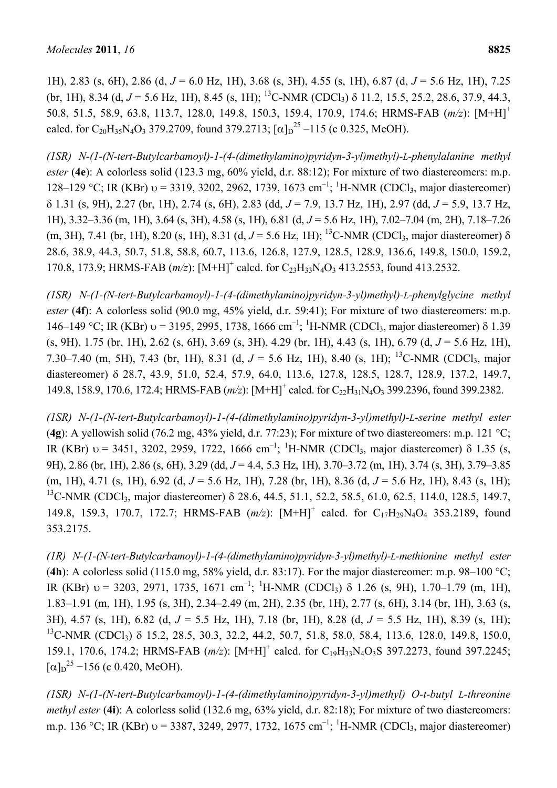1H), 2.83 (s, 6H), 2.86 (d, *J* = 6.0 Hz, 1H), 3.68 (s, 3H), 4.55 (s, 1H), 6.87 (d, *J* = 5.6 Hz, 1H), 7.25 (br, 1H), 8.34 (d,  $J = 5.6$  Hz, 1H), 8.45 (s, 1H); <sup>13</sup>C-NMR (CDCl<sub>3</sub>)  $\delta$  11.2, 15.5, 25.2, 28.6, 37.9, 44.3, 50.8, 51.5, 58.9, 63.8, 113.7, 128.0, 149.8, 150.3, 159.4, 170.9, 174.6; HRMS-FAB (*m/z*): [M+H]+ calcd. for C<sub>20</sub>H<sub>35</sub>N<sub>4</sub>O<sub>3</sub> 379.2709, found 379.2713;  $[\alpha]_D^{25} -115$  (c 0.325, MeOH).

*(1SR) N-(1-(N-tert-Butylcarbamoyl)-1-(4-(dimethylamino)pyridyn-3-yl)methyl)-L-phenylalanine methyl ester* (**4e**): A colorless solid (123.3 mg, 60% yield, d.r. 88:12); For mixture of two diastereomers: m.p. 128–129 °C; IR (KBr)  $v = 3319$ , 3202, 2962, 1739, 1673 cm<sup>-1</sup>; <sup>1</sup>H-NMR (CDCl<sub>3</sub>, major diastereomer) 1.31 (s, 9H), 2.27 (br, 1H), 2.74 (s, 6H), 2.83 (dd, *J* = 7.9, 13.7 Hz, 1H), 2.97 (dd, *J* = 5.9, 13.7 Hz, 1H), 3.32–3.36 (m, 1H), 3.64 (s, 3H), 4.58 (s, 1H), 6.81 (d, *J* = 5.6 Hz, 1H), 7.02–7.04 (m, 2H), 7.18–7.26 (m, 3H), 7.41 (br, 1H), 8.20 (s, 1H), 8.31 (d,  $J = 5.6$  Hz, 1H); <sup>13</sup>C-NMR (CDCl<sub>3</sub>, major diastereomer)  $\delta$ 28.6, 38.9, 44.3, 50.7, 51.8, 58.8, 60.7, 113.6, 126.8, 127.9, 128.5, 128.9, 136.6, 149.8, 150.0, 159.2, 170.8, 173.9; HRMS-FAB (*m/z*): [M+H]<sup>+</sup> calcd. for C<sub>23</sub>H<sub>33</sub>N<sub>4</sub>O<sub>3</sub> 413.2553, found 413.2532.

*(1SR) N-(1-(N-tert-Butylcarbamoyl)-1-(4-(dimethylamino)pyridyn-3-yl)methyl)-L-phenylglycine methyl ester* (**4f**): A colorless solid (90.0 mg, 45% yield, d.r. 59:41); For mixture of two diastereomers: m.p. 146–149 °C; IR (KBr)  $v = 3195$ , 2995, 1738, 1666 cm<sup>-1</sup>; <sup>1</sup>H-NMR (CDCl<sub>3</sub>, major diastereomer)  $\delta$  1.39 (s, 9H), 1.75 (br, 1H), 2.62 (s, 6H), 3.69 (s, 3H), 4.29 (br, 1H), 4.43 (s, 1H), 6.79 (d, *J* = 5.6 Hz, 1H), 7.30–7.40 (m, 5H), 7.43 (br, 1H), 8.31 (d,  $J = 5.6$  Hz, 1H), 8.40 (s, 1H); <sup>13</sup>C-NMR (CDCl<sub>3</sub>, major diastereomer)  $\delta$  28.7, 43.9, 51.0, 52.4, 57.9, 64.0, 113.6, 127.8, 128.5, 128.7, 128.9, 137.2, 149.7, 149.8, 158.9, 170.6, 172.4; HRMS-FAB (*m/z*): [M+H]<sup>+</sup> calcd. for C<sub>22</sub>H<sub>31</sub>N<sub>4</sub>O<sub>3</sub> 399.2396, found 399.2382.

*(1SR) N-(1-(N-tert-Butylcarbamoyl)-1-(4-(dimethylamino)pyridyn-3-yl)methyl)-L-serine methyl ester* (**4g**): A yellowish solid (76.2 mg, 43% yield, d.r. 77:23); For mixture of two diastereomers: m.p. 121 °C; IR (KBr)  $v = 3451, 3202, 2959, 1722, 1666$  cm<sup>-1</sup>; <sup>1</sup>H-NMR (CDCl<sub>3</sub>, major diastereomer)  $\delta$  1.35 (s, 9H), 2.86 (br, 1H), 2.86 (s, 6H), 3.29 (dd, *J* = 4.4, 5.3 Hz, 1H), 3.70–3.72 (m, 1H), 3.74 (s, 3H), 3.79–3.85 (m, 1H), 4.71 (s, 1H), 6.92 (d, *J* = 5.6 Hz, 1H), 7.28 (br, 1H), 8.36 (d, *J* = 5.6 Hz, 1H), 8.43 (s, 1H); <sup>13</sup>C-NMR (CDCl<sub>3</sub>, major diastereomer)  $\delta$  28.6, 44.5, 51.1, 52.2, 58.5, 61.0, 62.5, 114.0, 128.5, 149.7, 149.8, 159.3, 170.7, 172.7; HRMS-FAB (m/z): [M+H]<sup>+</sup> calcd. for C<sub>17</sub>H<sub>29</sub>N<sub>4</sub>O<sub>4</sub> 353.2189, found 353.2175.

*(1R) N-(1-(N-tert-Butylcarbamoyl)-1-(4-(dimethylamino)pyridyn-3-yl)methyl)-L-methionine methyl ester* (**4h**): A colorless solid (115.0 mg, 58% yield, d.r. 83:17). For the major diastereomer: m.p. 98–100 °C; IR (KBr)  $v = 3203$ , 2971, 1735, 1671 cm<sup>-1</sup>; <sup>1</sup>H-NMR (CDCl<sub>3</sub>)  $\delta$  1.26 (s, 9H), 1.70–1.79 (m, 1H), 1.83–1.91 (m, 1H), 1.95 (s, 3H), 2.34–2.49 (m, 2H), 2.35 (br, 1H), 2.77 (s, 6H), 3.14 (br, 1H), 3.63 (s, 3H), 4.57 (s, 1H), 6.82 (d, *J* = 5.5 Hz, 1H), 7.18 (br, 1H), 8.28 (d, *J* = 5.5 Hz, 1H), 8.39 (s, 1H); <sup>13</sup>C-NMR (CDCl<sub>3</sub>)  $\delta$  15.2, 28.5, 30.3, 32.2, 44.2, 50.7, 51.8, 58.0, 58.4, 113.6, 128.0, 149.8, 150.0, 159.1, 170.6, 174.2; HRMS-FAB (*m/z*): [M+H]<sup>+</sup> calcd. for C<sub>19</sub>H<sub>33</sub>N<sub>4</sub>O<sub>3</sub>S 397.2273, found 397.2245;  $[\alpha]_{D}^{25}$  –156 (c 0.420, MeOH).

*(1SR) N-(1-(N-tert-Butylcarbamoyl)-1-(4-(dimethylamino)pyridyn-3-yl)methyl) O-t-butyl L-threonine methyl ester* (**4i**): A colorless solid (132.6 mg, 63% yield, d.r. 82:18); For mixture of two diastereomers: m.p. 136 °C; IR (KBr)  $v = 3387, 3249, 2977, 1732, 1675$  cm<sup>-1</sup>; <sup>1</sup>H-NMR (CDCl<sub>3</sub>, major diastereomer)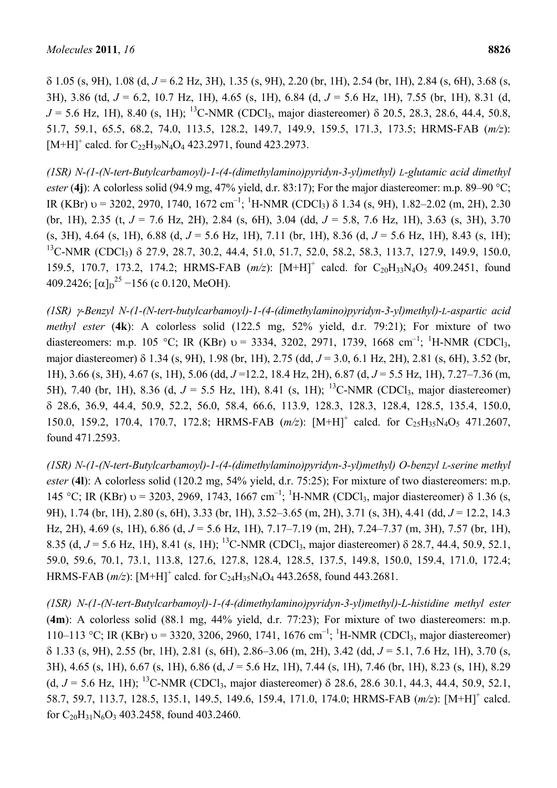$\delta$  1.05 (s, 9H), 1.08 (d,  $J = 6.2$  Hz, 3H), 1.35 (s, 9H), 2.20 (br, 1H), 2.54 (br, 1H), 2.84 (s, 6H), 3.68 (s, 3H), 3.86 (td, *J* = 6.2, 10.7 Hz, 1H), 4.65 (s, 1H), 6.84 (d, *J* = 5.6 Hz, 1H), 7.55 (br, 1H), 8.31 (d,  $J = 5.6$  Hz, 1H), 8.40 (s, 1H); <sup>13</sup>C-NMR (CDCl<sub>3</sub>, major diastereomer)  $\delta$  20.5, 28.3, 28.6, 44.4, 50.8, 51.7, 59.1, 65.5, 68.2, 74.0, 113.5, 128.2, 149.7, 149.9, 159.5, 171.3, 173.5; HRMS-FAB (*m/z*):  $[M+H]^{+}$  calcd. for  $C_{22}H_{39}N_{4}O_{4}$  423.2971, found 423.2973.

*(1SR) N-(1-(N-tert-Butylcarbamoyl)-1-(4-(dimethylamino)pyridyn-3-yl)methyl) L-glutamic acid dimethyl ester* (**4j**): A colorless solid (94.9 mg, 47% yield, d.r. 83:17); For the major diastereomer: m.p. 89–90 °C; IR (KBr)  $v = 3202, 2970, 1740, 1672$  cm<sup>-1</sup>; <sup>1</sup>H-NMR (CDCl<sub>3</sub>)  $\delta$  1.34 (s, 9H), 1.82–2.02 (m, 2H), 2.30 (br, 1H), 2.35 (t, *J* = 7.6 Hz, 2H), 2.84 (s, 6H), 3.04 (dd, *J* = 5.8, 7.6 Hz, 1H), 3.63 (s, 3H), 3.70 (s, 3H), 4.64 (s, 1H), 6.88 (d, *J* = 5.6 Hz, 1H), 7.11 (br, 1H), 8.36 (d, *J* = 5.6 Hz, 1H), 8.43 (s, 1H);  $^{13}$ C-NMR (CDCl<sub>3</sub>)  $\delta$  27.9, 28.7, 30.2, 44.4, 51.0, 51.7, 52.0, 58.2, 58.3, 113.7, 127.9, 149.9, 150.0, 159.5, 170.7, 173.2, 174.2; HRMS-FAB (m/z): [M+H]<sup>+</sup> calcd. for C<sub>20</sub>H<sub>33</sub>N<sub>4</sub>O<sub>5</sub> 409.2451, found 409.2426;  $[\alpha]_{D}^{25}$  –156 (c 0.120, MeOH).

*(1SR) -Benzyl N-(1-(N-tert-butylcarbamoyl)-1-(4-(dimethylamino)pyridyn-3-yl)methyl)-L-aspartic acid methyl ester* (**4k**): A colorless solid (122.5 mg, 52% yield, d.r. 79:21); For mixture of two diastereomers: m.p. 105 °C; IR (KBr)  $v = 3334$ , 3202, 2971, 1739, 1668 cm<sup>-1</sup>; <sup>1</sup>H-NMR (CDCl<sub>3</sub>, major diastereomer) δ 1.34 (s, 9H), 1.98 (br, 1H), 2.75 (dd, *J* = 3.0, 6.1 Hz, 2H), 2.81 (s, 6H), 3.52 (br, 1H), 3.66 (s, 3H), 4.67 (s, 1H), 5.06 (dd, *J* =12.2, 18.4 Hz, 2H), 6.87 (d, *J* = 5.5 Hz, 1H), 7.27–7.36 (m, 5H), 7.40 (br, 1H), 8.36 (d,  $J = 5.5$  Hz, 1H), 8.41 (s, 1H); <sup>13</sup>C-NMR (CDCl<sub>3</sub>, major diastereomer) 28.6, 36.9, 44.4, 50.9, 52.2, 56.0, 58.4, 66.6, 113.9, 128.3, 128.3, 128.4, 128.5, 135.4, 150.0, 150.0, 159.2, 170.4, 170.7, 172.8; HRMS-FAB  $(m/z)$ :  $[M+H]^+$  calcd. for C<sub>25</sub>H<sub>35</sub>N<sub>4</sub>O<sub>5</sub> 471.2607, found 471.2593.

*(1SR) N-(1-(N-tert-Butylcarbamoyl)-1-(4-(dimethylamino)pyridyn-3-yl)methyl) O-benzyl L-serine methyl ester* (**4l**): A colorless solid (120.2 mg, 54% yield, d.r. 75:25); For mixture of two diastereomers: m.p. 145 °C; IR (KBr)  $v = 3203$ , 2969, 1743, 1667 cm<sup>-1</sup>; <sup>1</sup>H-NMR (CDCl<sub>3</sub>, major diastereomer)  $\delta$  1.36 (s, 9H), 1.74 (br, 1H), 2.80 (s, 6H), 3.33 (br, 1H), 3.52–3.65 (m, 2H), 3.71 (s, 3H), 4.41 (dd, *J* = 12.2, 14.3 Hz, 2H), 4.69 (s, 1H), 6.86 (d, *J* = 5.6 Hz, 1H), 7.17–7.19 (m, 2H), 7.24–7.37 (m, 3H), 7.57 (br, 1H), 8.35 (d,  $J = 5.6$  Hz, 1H), 8.41 (s, 1H); <sup>13</sup>C-NMR (CDCl<sub>3</sub>, major diastereomer)  $\delta$  28.7, 44.4, 50.9, 52.1, 59.0, 59.6, 70.1, 73.1, 113.8, 127.6, 127.8, 128.4, 128.5, 137.5, 149.8, 150.0, 159.4, 171.0, 172.4; HRMS-FAB  $(m/z)$ :  $[M+H]^+$  calcd. for  $C_{24}H_{35}N_4O_4$  443.2658, found 443.2681.

*(1SR) N-(1-(N-tert-Butylcarbamoyl)-1-(4-(dimethylamino)pyridyn-3-yl)methyl)-L-histidine methyl ester* (**4m**): A colorless solid (88.1 mg, 44% yield, d.r. 77:23); For mixture of two diastereomers: m.p. 110–113 °C; IR (KBr)  $v = 3320, 3206, 2960, 1741, 1676$  cm<sup>-1</sup>; <sup>1</sup>H-NMR (CDCl<sub>3</sub>, major diastereomer) 1.33 (s, 9H), 2.55 (br, 1H), 2.81 (s, 6H), 2.86–3.06 (m, 2H), 3.42 (dd, *J* = 5.1, 7.6 Hz, 1H), 3.70 (s, 3H), 4.65 (s, 1H), 6.67 (s, 1H), 6.86 (d, *J* = 5.6 Hz, 1H), 7.44 (s, 1H), 7.46 (br, 1H), 8.23 (s, 1H), 8.29 (d,  $J = 5.6$  Hz, 1H); <sup>13</sup>C-NMR (CDCl<sub>3</sub>, major diastereomer)  $\delta$  28.6, 28.6 30.1, 44.3, 44.4, 50.9, 52.1, 58.7, 59.7, 113.7, 128.5, 135.1, 149.5, 149.6, 159.4, 171.0, 174.0; HRMS-FAB ( $m/z$ ): [M+H]<sup>+</sup> calcd. for  $C_{20}H_{31}N_6O_3$  403.2458, found 403.2460.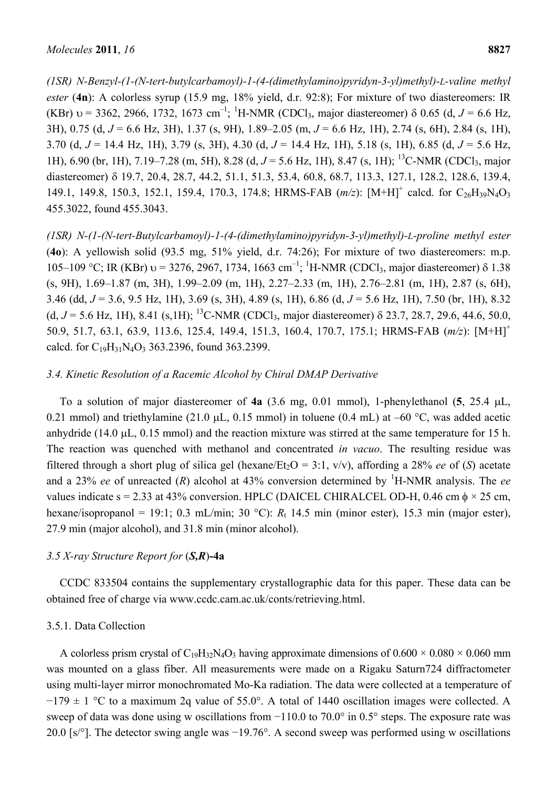*(1SR) N-Benzyl-(1-(N-tert-butylcarbamoyl)-1-(4-(dimethylamino)pyridyn-3-yl)methyl)-L-valine methyl ester* (**4n**): A colorless syrup (15.9 mg, 18% yield, d.r. 92:8); For mixture of two diastereomers: IR (KBr)  $v = 3362$ , 2966, 1732, 1673 cm<sup>-1</sup>; <sup>1</sup>H-NMR (CDCl<sub>3</sub>, major diastereomer)  $\delta$  0.65 (d, *J* = 6.6 Hz, 3H), 0.75 (d, *J* = 6.6 Hz, 3H), 1.37 (s, 9H), 1.89–2.05 (m, *J* = 6.6 Hz, 1H), 2.74 (s, 6H), 2.84 (s, 1H), 3.70 (d, *J* = 14.4 Hz, 1H), 3.79 (s, 3H), 4.30 (d, *J* = 14.4 Hz, 1H), 5.18 (s, 1H), 6.85 (d, *J* = 5.6 Hz, 1H), 6.90 (br, 1H), 7.19–7.28 (m, 5H), 8.28 (d, *J* = 5.6 Hz, 1H), 8.47 (s, 1H); 13C-NMR (CDCl3, major diastereomer) 19.7, 20.4, 28.7, 44.2, 51.1, 51.3, 53.4, 60.8, 68.7, 113.3, 127.1, 128.2, 128.6, 139.4, 149.1, 149.8, 150.3, 152.1, 159.4, 170.3, 174.8; HRMS-FAB ( $m/z$ ): [M+H]<sup>+</sup> calcd. for C<sub>26</sub>H<sub>39</sub>N<sub>4</sub>O<sub>3</sub> 455.3022, found 455.3043.

*(1SR) N-(1-(N-tert-Butylcarbamoyl)-1-(4-(dimethylamino)pyridyn-3-yl)methyl)-L-proline methyl ester* (**4o**): A yellowish solid (93.5 mg, 51% yield, d.r. 74:26); For mixture of two diastereomers: m.p. 105–109 °C; IR (KBr) υ = 3276, 2967, 1734, 1663 cm<sup>-1</sup>; <sup>1</sup>H-NMR (CDCl<sub>3</sub>, major diastereomer) δ 1.38 (s, 9H), 1.69–1.87 (m, 3H), 1.99–2.09 (m, 1H), 2.27–2.33 (m, 1H), 2.76–2.81 (m, 1H), 2.87 (s, 6H), 3.46 (dd, *J* = 3.6, 9.5 Hz, 1H), 3.69 (s, 3H), 4.89 (s, 1H), 6.86 (d, *J* = 5.6 Hz, 1H), 7.50 (br, 1H), 8.32 (d,  $J = 5.6$  Hz, 1H), 8.41 (s, 1H); <sup>13</sup>C-NMR (CDCl<sub>3</sub>, major diastereomer)  $\delta$  23.7, 28.7, 29.6, 44.6, 50.0, 50.9, 51.7, 63.1, 63.9, 113.6, 125.4, 149.4, 151.3, 160.4, 170.7, 175.1; HRMS-FAB (*m/z*): [M+H]+ calcd. for  $C_{19}H_{31}N_4O_3$  363.2396, found 363.2399.

## *3.4. Kinetic Resolution of a Racemic Alcohol by Chiral DMAP Derivative*

To a solution of major diastereomer of **4a** (3.6 mg, 0.01 mmol), 1-phenylethanol (**5**, 25.4 L, 0.21 mmol) and triethylamine (21.0  $\mu$ L, 0.15 mmol) in toluene (0.4 mL) at –60 °C, was added acetic anhydride (14.0  $\mu$ L, 0.15 mmol) and the reaction mixture was stirred at the same temperature for 15 h. The reaction was quenched with methanol and concentrated *in vacuo*. The resulting residue was filtered through a short plug of silica gel (hexane/Et<sub>2</sub>O = 3:1, v/v), affording a 28% *ee* of (*S*) acetate and a 23% *ee* of unreacted (R) alcohol at 43% conversion determined by <sup>1</sup>H-NMR analysis. The *ee* values indicate s = 2.33 at 43% conversion. HPLC (DAICEL CHIRALCEL OD-H, 0.46 cm  $\phi \times 25$  cm, hexane/isopropanol = 19:1; 0.3 mL/min; 30 °C):  $R_t$  14.5 min (minor ester), 15.3 min (major ester), 27.9 min (major alcohol), and 31.8 min (minor alcohol).

#### *3.5 X-ray Structure Report for* (*S,R*)**-4a**

CCDC 833504 contains the supplementary crystallographic data for this paper. These data can be obtained free of charge via www.ccdc.cam.ac.uk/conts/retrieving.html.

## 3.5.1. Data Collection

A colorless prism crystal of  $C_{19}H_{32}N_4O_3$  having approximate dimensions of  $0.600 \times 0.080 \times 0.060$  mm was mounted on a glass fiber. All measurements were made on a Rigaku Saturn724 diffractometer using multi-layer mirror monochromated Mo-Ka radiation. The data were collected at a temperature of  $-179 \pm 1$  °C to a maximum 2q value of 55.0°. A total of 1440 oscillation images were collected. A sweep of data was done using w oscillations from −110.0 to 70.0° in 0.5° steps. The exposure rate was 20.0 [s/°]. The detector swing angle was −19.76°. A second sweep was performed using w oscillations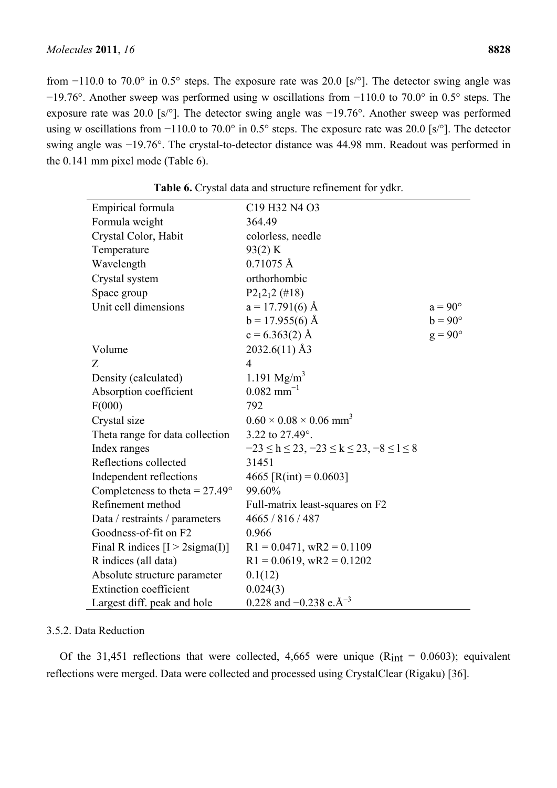from −110.0 to 70.0° in 0.5° steps. The exposure rate was 20.0 [s/°]. The detector swing angle was −19.76°. Another sweep was performed using w oscillations from −110.0 to 70.0° in 0.5° steps. The exposure rate was 20.0 [s/°]. The detector swing angle was −19.76°. Another sweep was performed using w oscillations from −110.0 to 70.0° in 0.5° steps. The exposure rate was 20.0 [s/°]. The detector swing angle was −19.76°. The crystal-to-detector distance was 44.98 mm. Readout was performed in the 0.141 mm pixel mode (Table 6).

| Empirical formula                       | C19 H32 N4 O3                                              |                |
|-----------------------------------------|------------------------------------------------------------|----------------|
| Formula weight                          | 364.49                                                     |                |
| Crystal Color, Habit                    | colorless, needle                                          |                |
| Temperature                             | 93(2) K                                                    |                |
| Wavelength                              | $0.71075 \text{ Å}$                                        |                |
| Crystal system                          | orthorhombic                                               |                |
| Space group                             | $P2_12_12$ (#18)                                           |                |
| Unit cell dimensions                    | $a = 17.791(6)$ Å                                          | $a = 90^\circ$ |
|                                         | $b = 17.955(6)$ Å                                          | $b = 90^\circ$ |
|                                         | $c = 6.363(2)$ Å                                           | $g = 90^\circ$ |
| Volume                                  | 2032.6(11) Å3                                              |                |
| Z                                       | $\overline{4}$                                             |                |
| Density (calculated)                    | 1.191 $Mg/m^3$                                             |                |
| Absorption coefficient                  | $0.082$ mm <sup>-1</sup>                                   |                |
| F(000)                                  | 792                                                        |                |
| Crystal size                            | $0.60 \times 0.08 \times 0.06$ mm <sup>3</sup>             |                |
| Theta range for data collection         | 3.22 to 27.49°.                                            |                |
| Index ranges                            | $-23 \le h \le 23$ , $-23 \le k \le 23$ , $-8 \le l \le 8$ |                |
| Reflections collected                   | 31451                                                      |                |
| Independent reflections                 | 4665 [R(int) = $0.0603$ ]                                  |                |
| Completeness to theta = $27.49^{\circ}$ | 99.60%                                                     |                |
| Refinement method                       | Full-matrix least-squares on F2                            |                |
| Data / restraints / parameters          | 4665 / 816 / 487                                           |                |
| Goodness-of-fit on F2                   | 0.966                                                      |                |
| Final R indices $[I > 2$ sigma(I)]      | $R1 = 0.0471$ , wR2 = 0.1109                               |                |
| R indices (all data)                    | $R1 = 0.0619$ , wR2 = 0.1202                               |                |
| Absolute structure parameter            | 0.1(12)                                                    |                |
| <b>Extinction coefficient</b>           | 0.024(3)                                                   |                |
| Largest diff. peak and hole             | 0.228 and $-0.238$ e. $\AA^{-3}$                           |                |

**Table 6.** Crystal data and structure refinement for ydkr.

## 3.5.2. Data Reduction

Of the 31,451 reflections that were collected, 4,665 were unique  $(R_{int} = 0.0603)$ ; equivalent reflections were merged. Data were collected and processed using CrystalClear (Rigaku) [36].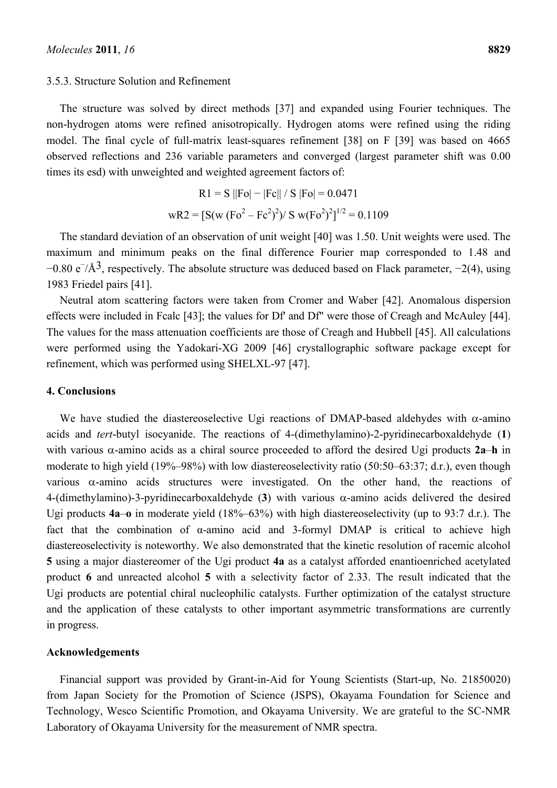#### 3.5.3. Structure Solution and Refinement

The structure was solved by direct methods [37] and expanded using Fourier techniques. The non-hydrogen atoms were refined anisotropically. Hydrogen atoms were refined using the riding

model. The final cycle of full-matrix least-squares refinement [38] on F [39] was based on 4665 observed reflections and 236 variable parameters and converged (largest parameter shift was 0.00 times its esd) with unweighted and weighted agreement factors of:

$$
R1 = S ||Fo| - |Fc|| / S |Fo| = 0.0471
$$
  
 
$$
wR2 = [S(w (Fo2 – Fe2)2)/ S w (Fo2)2]^{1/2} = 0.1109
$$

The standard deviation of an observation of unit weight [40] was 1.50. Unit weights were used. The maximum and minimum peaks on the final difference Fourier map corresponded to 1.48 and  $-0.80 \text{ e}^{-}/\text{A}^{3}$ , respectively. The absolute structure was deduced based on Flack parameter,  $-2(4)$ , using 1983 Friedel pairs [41].

Neutral atom scattering factors were taken from Cromer and Waber [42]. Anomalous dispersion effects were included in Fcalc [43]; the values for Df' and Df" were those of Creagh and McAuley [44]. The values for the mass attenuation coefficients are those of Creagh and Hubbell [45]. All calculations were performed using the Yadokari-XG 2009 [46] crystallographic software package except for refinement, which was performed using SHELXL-97 [47].

#### **4. Conclusions**

We have studied the diastereoselective Ugi reactions of DMAP-based aldehydes with  $\alpha$ -amino acids and *tert*-butyl isocyanide. The reactions of 4-(dimethylamino)-2-pyridinecarboxaldehyde (**1**) with various  $\alpha$ -amino acids as a chiral source proceeded to afford the desired Ugi products 2a–h in moderate to high yield (19%–98%) with low diastereoselectivity ratio (50:50–63:37; d.r.), even though various  $\alpha$ -amino acids structures were investigated. On the other hand, the reactions of 4-(dimethylamino)-3-pyridinecarboxaldehyde  $(3)$  with various  $\alpha$ -amino acids delivered the desired Ugi products **4a**–**o** in moderate yield (18%–63%) with high diastereoselectivity (up to 93:7 d.r.). The fact that the combination of α-amino acid and 3-formyl DMAP is critical to achieve high diastereoselectivity is noteworthy. We also demonstrated that the kinetic resolution of racemic alcohol **5** using a major diastereomer of the Ugi product **4a** as a catalyst afforded enantioenriched acetylated product **6** and unreacted alcohol **5** with a selectivity factor of 2.33. The result indicated that the Ugi products are potential chiral nucleophilic catalysts. Further optimization of the catalyst structure and the application of these catalysts to other important asymmetric transformations are currently in progress.

## **Acknowledgements**

Financial support was provided by Grant-in-Aid for Young Scientists (Start-up, No. 21850020) from Japan Society for the Promotion of Science (JSPS), Okayama Foundation for Science and Technology, Wesco Scientific Promotion, and Okayama University. We are grateful to the SC-NMR Laboratory of Okayama University for the measurement of NMR spectra.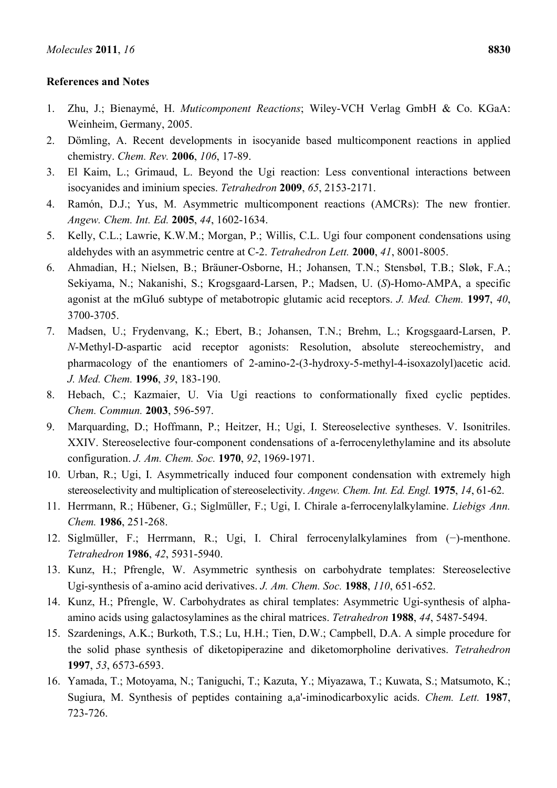# **References and Notes**

- 1. Zhu, J.; Bienaymé, H. *Muticomponent Reactions*; Wiley-VCH Verlag GmbH & Co. KGaA: Weinheim, Germany, 2005.
- 2. Dömling, A. Recent developments in isocyanide based multicomponent reactions in applied chemistry. *Chem. Rev.* **2006**, *106*, 17-89.
- 3. El Kaim, L.; Grimaud, L. Beyond the Ugi reaction: Less conventional interactions between isocyanides and iminium species. *Tetrahedron* **2009**, *65*, 2153-2171.
- 4. Ramón, D.J.; Yus, M. Asymmetric multicomponent reactions (AMCRs): The new frontier. *Angew. Chem. Int. Ed.* **2005**, *44*, 1602-1634.
- 5. Kelly, C.L.; Lawrie, K.W.M.; Morgan, P.; Willis, C.L. Ugi four component condensations using aldehydes with an asymmetric centre at C-2. *Tetrahedron Lett.* **2000**, *41*, 8001-8005.
- 6. Ahmadian, H.; Nielsen, B.; Bräuner-Osborne, H.; Johansen, T.N.; Stensbøl, T.B.; Sløk, F.A.; Sekiyama, N.; Nakanishi, S.; Krogsgaard-Larsen, P.; Madsen, U. (*S*)-Homo-AMPA, a specific agonist at the mGlu6 subtype of metabotropic glutamic acid receptors. *J. Med. Chem.* **1997**, *40*, 3700-3705.
- 7. Madsen, U.; Frydenvang, K.; Ebert, B.; Johansen, T.N.; Brehm, L.; Krogsgaard-Larsen, P. *N*-Methyl-D-aspartic acid receptor agonists: Resolution, absolute stereochemistry, and pharmacology of the enantiomers of 2-amino-2-(3-hydroxy-5-methyl-4-isoxazolyl)acetic acid. *J. Med. Chem.* **1996**, *39*, 183-190.
- 8. Hebach, C.; Kazmaier, U. Via Ugi reactions to conformationally fixed cyclic peptides. *Chem. Commun.* **2003**, 596-597.
- 9. Marquarding, D.; Hoffmann, P.; Heitzer, H.; Ugi, I. Stereoselective syntheses. V. Isonitriles. XXIV. Stereoselective four-component condensations of a-ferrocenylethylamine and its absolute configuration. *J. Am. Chem. Soc.* **1970**, *92*, 1969-1971.
- 10. Urban, R.; Ugi, I. Asymmetrically induced four component condensation with extremely high stereoselectivity and multiplication of stereoselectivity. *Angew. Chem. Int. Ed. Engl.* **1975**, *14*, 61-62.
- 11. Herrmann, R.; Hübener, G.; Siglmüller, F.; Ugi, I. Chirale a-ferrocenylalkylamine. *Liebigs Ann. Chem.* **1986**, 251-268.
- 12. Siglmüller, F.; Herrmann, R.; Ugi, I. Chiral ferrocenylalkylamines from (−)-menthone. *Tetrahedron* **1986**, *42*, 5931-5940.
- 13. Kunz, H.; Pfrengle, W. Asymmetric synthesis on carbohydrate templates: Stereoselective Ugi-synthesis of a-amino acid derivatives. *J. Am. Chem. Soc.* **1988**, *110*, 651-652.
- 14. Kunz, H.; Pfrengle, W. Carbohydrates as chiral templates: Asymmetric Ugi-synthesis of alphaamino acids using galactosylamines as the chiral matrices. *Tetrahedron* **1988**, *44*, 5487-5494.
- 15. Szardenings, A.K.; Burkoth, T.S.; Lu, H.H.; Tien, D.W.; Campbell, D.A. A simple procedure for the solid phase synthesis of diketopiperazine and diketomorpholine derivatives. *Tetrahedron*  **1997**, *53*, 6573-6593.
- 16. Yamada, T.; Motoyama, N.; Taniguchi, T.; Kazuta, Y.; Miyazawa, T.; Kuwata, S.; Matsumoto, K.; Sugiura, M. Synthesis of peptides containing a,a'-iminodicarboxylic acids. *Chem. Lett.* **1987**, 723-726.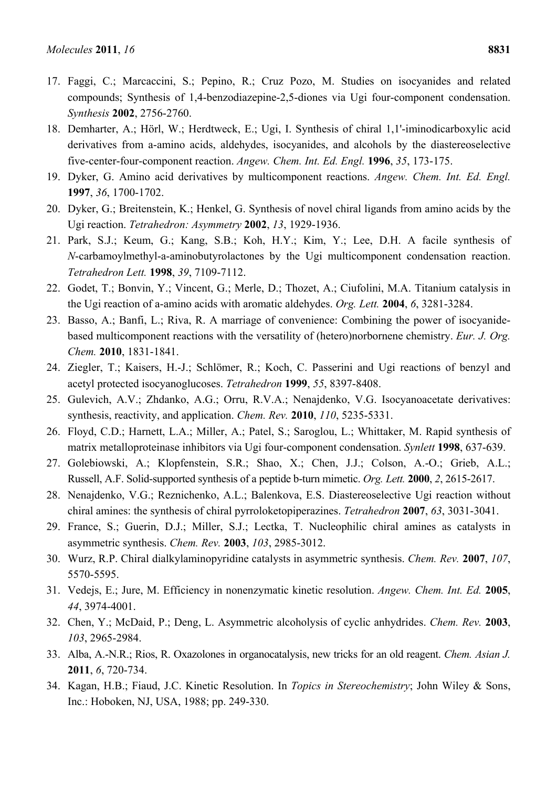- 17. Faggi, C.; Marcaccini, S.; Pepino, R.; Cruz Pozo, M. Studies on isocyanides and related compounds; Synthesis of 1,4-benzodiazepine-2,5-diones via Ugi four-component condensation. *Synthesis* **2002**, 2756-2760.
- 18. Demharter, A.; Hörl, W.; Herdtweck, E.; Ugi, I. Synthesis of chiral 1,1'-iminodicarboxylic acid derivatives from a-amino acids, aldehydes, isocyanides, and alcohols by the diastereoselective five-center-four-component reaction. *Angew. Chem. Int. Ed. Engl.* **1996**, *35*, 173-175.
- 19. Dyker, G. Amino acid derivatives by multicomponent reactions. *Angew. Chem. Int. Ed. Engl.*  **1997**, *36*, 1700-1702.
- 20. Dyker, G.; Breitenstein, K.; Henkel, G. Synthesis of novel chiral ligands from amino acids by the Ugi reaction. *Tetrahedron: Asymmetry* **2002**, *13*, 1929-1936.
- 21. Park, S.J.; Keum, G.; Kang, S.B.; Koh, H.Y.; Kim, Y.; Lee, D.H. A facile synthesis of *N*-carbamoylmethyl-a-aminobutyrolactones by the Ugi multicomponent condensation reaction. *Tetrahedron Lett.* **1998**, *39*, 7109-7112.
- 22. Godet, T.; Bonvin, Y.; Vincent, G.; Merle, D.; Thozet, A.; Ciufolini, M.A. Titanium catalysis in the Ugi reaction of a-amino acids with aromatic aldehydes. *Org. Lett.* **2004**, *6*, 3281-3284.
- 23. Basso, A.; Banfi, L.; Riva, R. A marriage of convenience: Combining the power of isocyanidebased multicomponent reactions with the versatility of (hetero)norbornene chemistry. *Eur. J. Org. Chem.* **2010**, 1831-1841.
- 24. Ziegler, T.; Kaisers, H.-J.; Schlömer, R.; Koch, C. Passerini and Ugi reactions of benzyl and acetyl protected isocyanoglucoses. *Tetrahedron* **1999**, *55*, 8397-8408.
- 25. Gulevich, A.V.; Zhdanko, A.G.; Orru, R.V.A.; Nenajdenko, V.G. Isocyanoacetate derivatives: synthesis, reactivity, and application. *Chem. Rev.* **2010**, *110*, 5235-5331.
- 26. Floyd, C.D.; Harnett, L.A.; Miller, A.; Patel, S.; Saroglou, L.; Whittaker, M. Rapid synthesis of matrix metalloproteinase inhibitors via Ugi four-component condensation. *Synlett* **1998**, 637-639.
- 27. Golebiowski, A.; Klopfenstein, S.R.; Shao, X.; Chen, J.J.; Colson, A.-O.; Grieb, A.L.; Russell, A.F. Solid-supported synthesis of a peptide b-turn mimetic. *Org. Lett.* **2000**, *2*, 2615-2617.
- 28. Nenajdenko, V.G.; Reznichenko, A.L.; Balenkova, E.S. Diastereoselective Ugi reaction without chiral amines: the synthesis of chiral pyrroloketopiperazines. *Tetrahedron* **2007**, *63*, 3031-3041.
- 29. France, S.; Guerin, D.J.; Miller, S.J.; Lectka, T. Nucleophilic chiral amines as catalysts in asymmetric synthesis. *Chem. Rev.* **2003**, *103*, 2985-3012.
- 30. Wurz, R.P. Chiral dialkylaminopyridine catalysts in asymmetric synthesis. *Chem. Rev.* **2007**, *107*, 5570-5595.
- 31. Vedejs, E.; Jure, M. Efficiency in nonenzymatic kinetic resolution. *Angew. Chem. Int. Ed.* **2005**, *44*, 3974-4001.
- 32. Chen, Y.; McDaid, P.; Deng, L. Asymmetric alcoholysis of cyclic anhydrides. *Chem. Rev.* **2003**, *103*, 2965-2984.
- 33. Alba, A.-N.R.; Rios, R. Oxazolones in organocatalysis, new tricks for an old reagent. *Chem. Asian J.*  **2011**, *6*, 720-734.
- 34. Kagan, H.B.; Fiaud, J.C. Kinetic Resolution. In *Topics in Stereochemistry*; John Wiley & Sons, Inc.: Hoboken, NJ, USA, 1988; pp. 249-330.